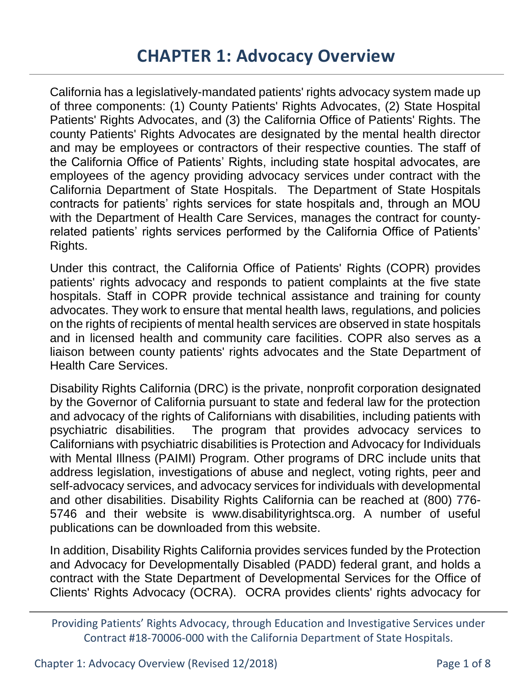California has a legislatively-mandated patients' rights advocacy system made up of three components: (1) County Patients' Rights Advocates, (2) State Hospital Patients' Rights Advocates, and (3) the California Office of Patients' Rights. The county Patients' Rights Advocates are designated by the mental health director and may be employees or contractors of their respective counties. The staff of the California Office of Patients' Rights, including state hospital advocates, are employees of the agency providing advocacy services under contract with the California Department of State Hospitals. The Department of State Hospitals contracts for patients' rights services for state hospitals and, through an MOU with the Department of Health Care Services, manages the contract for countyrelated patients' rights services performed by the California Office of Patients' Rights.

Under this contract, the California Office of Patients' Rights (COPR) provides patients' rights advocacy and responds to patient complaints at the five state hospitals. Staff in COPR provide technical assistance and training for county advocates. They work to ensure that mental health laws, regulations, and policies on the rights of recipients of mental health services are observed in state hospitals and in licensed health and community care facilities. COPR also serves as a liaison between county patients' rights advocates and the State Department of Health Care Services.

Disability Rights California (DRC) is the private, nonprofit corporation designated by the Governor of California pursuant to state and federal law for the protection and advocacy of the rights of Californians with disabilities, including patients with psychiatric disabilities. The program that provides advocacy services to Californians with psychiatric disabilities is Protection and Advocacy for Individuals with Mental Illness (PAIMI) Program. Other programs of DRC include units that address legislation, investigations of abuse and neglect, voting rights, peer and self-advocacy services, and advocacy services for individuals with developmental and other disabilities. Disability Rights California can be reached at (800) 776- 5746 and their website is www.disabilityrightsca.org. A number of useful publications can be downloaded from this website.

In addition, Disability Rights California provides services funded by the Protection and Advocacy for Developmentally Disabled (PADD) federal grant, and holds a contract with the State Department of Developmental Services for the Office of Clients' Rights Advocacy (OCRA). OCRA provides clients' rights advocacy for

Providing Patients' Rights Advocacy, through Education and Investigative Services under Contract #18-70006-000 with the California Department of State Hospitals.

Chapter 1: Advocacy Overview (Revised 12/2018) Page 1 of 8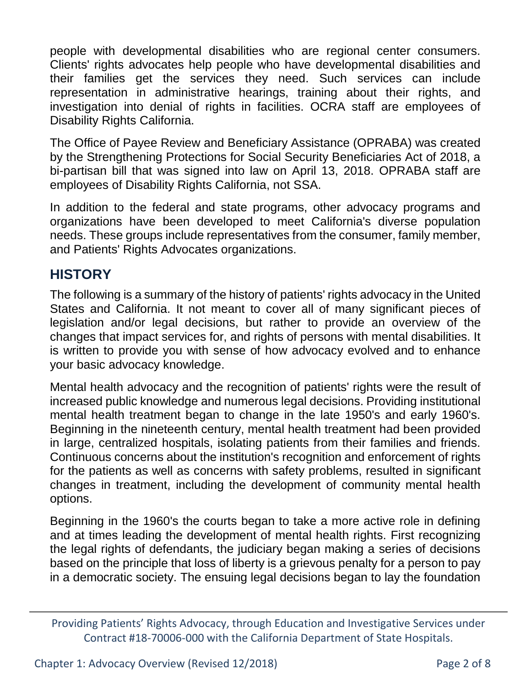people with developmental disabilities who are regional center consumers. Clients' rights advocates help people who have developmental disabilities and their families get the services they need. Such services can include representation in administrative hearings, training about their rights, and investigation into denial of rights in facilities. OCRA staff are employees of Disability Rights California.

The Office of Payee Review and Beneficiary Assistance (OPRABA) was created by the Strengthening Protections for Social Security Beneficiaries Act of 2018, a bi-partisan bill that was signed into law on April 13, 2018. OPRABA staff are employees of Disability Rights California, not SSA.

In addition to the federal and state programs, other advocacy programs and organizations have been developed to meet California's diverse population needs. These groups include representatives from the consumer, family member, and Patients' Rights Advocates organizations.

### **HISTORY**

The following is a summary of the history of patients' rights advocacy in the United States and California. It not meant to cover all of many significant pieces of legislation and/or legal decisions, but rather to provide an overview of the changes that impact services for, and rights of persons with mental disabilities. It is written to provide you with sense of how advocacy evolved and to enhance your basic advocacy knowledge.

Mental health advocacy and the recognition of patients' rights were the result of increased public knowledge and numerous legal decisions. Providing institutional mental health treatment began to change in the late 1950's and early 1960's. Beginning in the nineteenth century, mental health treatment had been provided in large, centralized hospitals, isolating patients from their families and friends. Continuous concerns about the institution's recognition and enforcement of rights for the patients as well as concerns with safety problems, resulted in significant changes in treatment, including the development of community mental health options.

Beginning in the 1960's the courts began to take a more active role in defining and at times leading the development of mental health rights. First recognizing the legal rights of defendants, the judiciary began making a series of decisions based on the principle that loss of liberty is a grievous penalty for a person to pay in a democratic society. The ensuing legal decisions began to lay the foundation

Providing Patients' Rights Advocacy, through Education and Investigative Services under Contract #18-70006-000 with the California Department of State Hospitals.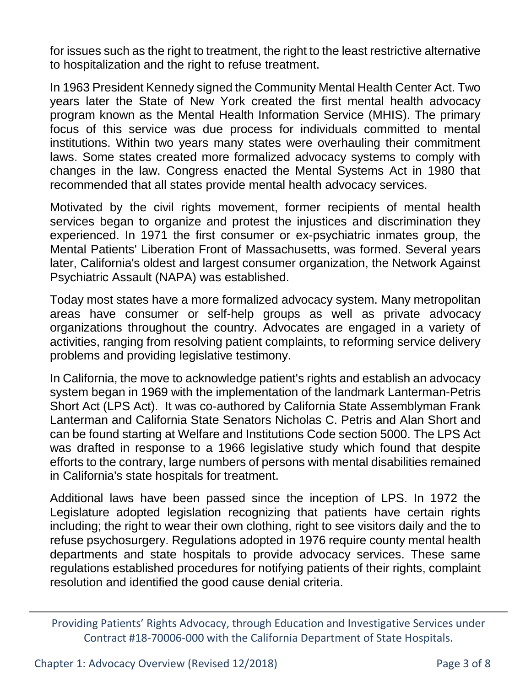for issues such as the right to treatment, the right to the least restrictive alternative to hospitalization and the right to refuse treatment.

In 1963 President Kennedy signed the Community Mental Health Center Act. Two years later the State of New York created the first mental health advocacy program known as the Mental Health Information Service (MHIS). The primary focus of this service was due process for individuals committed to mental institutions. Within two years many states were overhauling their commitment laws. Some states created more formalized advocacy systems to comply with changes in the law. Congress enacted the Mental Systems Act in 1980 that recommended that all states provide mental health advocacy services.

Motivated by the civil rights movement, former recipients of mental health services began to organize and protest the injustices and discrimination they experienced. In 1971 the first consumer or ex-psychiatric inmates group, the Mental Patients' Liberation Front of Massachusetts, was formed. Several years later, California's oldest and largest consumer organization, the Network Against Psychiatric Assault (NAPA) was established.

Today most states have a more formalized advocacy system. Many metropolitan areas have consumer or self-help groups as well as private advocacy organizations throughout the country. Advocates are engaged in a variety of activities, ranging from resolving patient complaints, to reforming service delivery problems and providing legislative testimony.

In California, the move to acknowledge patient's rights and establish an advocacy system began in 1969 with the implementation of the landmark Lanterman-Petris Short Act (LPS Act). It was co-authored by California State Assemblyman Frank Lanterman and California State Senators Nicholas C. Petris and Alan Short and can be found starting at Welfare and Institutions Code section 5000. The LPS Act was drafted in response to a 1966 legislative study which found that despite efforts to the contrary, large numbers of persons with mental disabilities remained in California's state hospitals for treatment.

Additional laws have been passed since the inception of LPS. In 1972 the Legislature adopted legislation recognizing that patients have certain rights including; the right to wear their own clothing, right to see visitors daily and the to refuse psychosurgery. Regulations adopted in 1976 require county mental health departments and state hospitals to provide advocacy services. These same regulations established procedures for notifying patients of their rights, complaint resolution and identified the good cause denial criteria.

Providing Patients' Rights Advocacy, through Education and Investigative Services under Contract #18-70006-000 with the California Department of State Hospitals.

Chapter 1: Advocacy Overview (Revised 12/2018) Page 3 of 8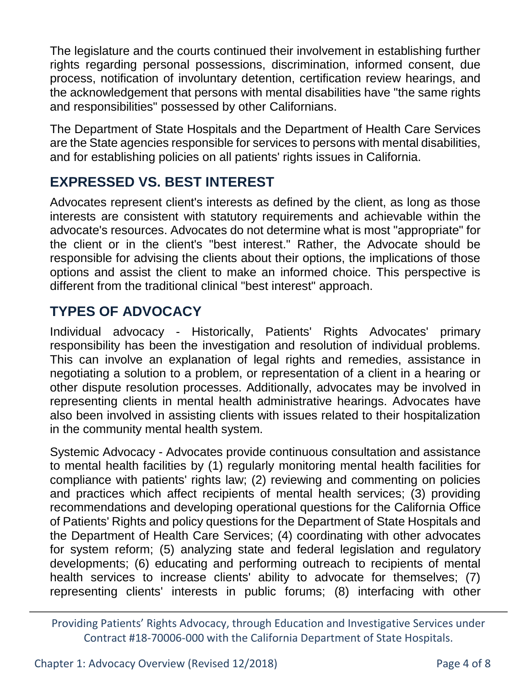The legislature and the courts continued their involvement in establishing further rights regarding personal possessions, discrimination, informed consent, due process, notification of involuntary detention, certification review hearings, and the acknowledgement that persons with mental disabilities have "the same rights and responsibilities" possessed by other Californians.

The Department of State Hospitals and the Department of Health Care Services are the State agencies responsible for services to persons with mental disabilities, and for establishing policies on all patients' rights issues in California.

# **EXPRESSED VS. BEST INTEREST**

Advocates represent client's interests as defined by the client, as long as those interests are consistent with statutory requirements and achievable within the advocate's resources. Advocates do not determine what is most "appropriate" for the client or in the client's "best interest." Rather, the Advocate should be responsible for advising the clients about their options, the implications of those options and assist the client to make an informed choice. This perspective is different from the traditional clinical "best interest" approach.

### **TYPES OF ADVOCACY**

Individual advocacy - Historically, Patients' Rights Advocates' primary responsibility has been the investigation and resolution of individual problems. This can involve an explanation of legal rights and remedies, assistance in negotiating a solution to a problem, or representation of a client in a hearing or other dispute resolution processes. Additionally, advocates may be involved in representing clients in mental health administrative hearings. Advocates have also been involved in assisting clients with issues related to their hospitalization in the community mental health system.

Systemic Advocacy - Advocates provide continuous consultation and assistance to mental health facilities by (1) regularly monitoring mental health facilities for compliance with patients' rights law; (2) reviewing and commenting on policies and practices which affect recipients of mental health services; (3) providing recommendations and developing operational questions for the California Office of Patients' Rights and policy questions for the Department of State Hospitals and the Department of Health Care Services; (4) coordinating with other advocates for system reform; (5) analyzing state and federal legislation and regulatory developments; (6) educating and performing outreach to recipients of mental health services to increase clients' ability to advocate for themselves; (7) representing clients' interests in public forums; (8) interfacing with other

Providing Patients' Rights Advocacy, through Education and Investigative Services under Contract #18-70006-000 with the California Department of State Hospitals.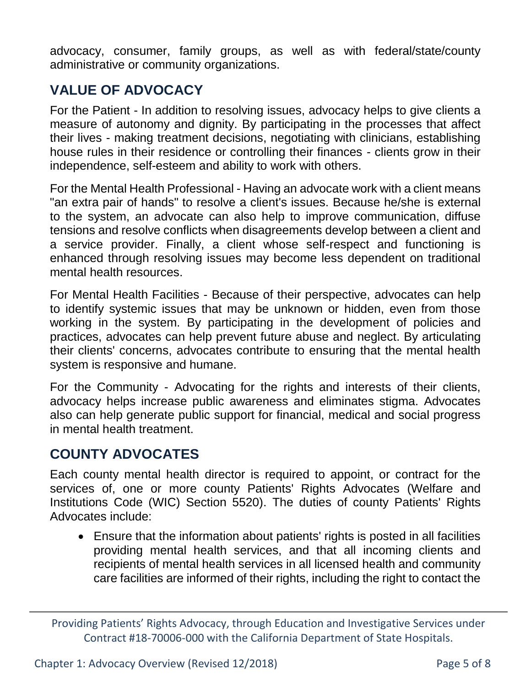advocacy, consumer, family groups, as well as with federal/state/county administrative or community organizations.

# **VALUE OF ADVOCACY**

For the Patient - In addition to resolving issues, advocacy helps to give clients a measure of autonomy and dignity. By participating in the processes that affect their lives - making treatment decisions, negotiating with clinicians, establishing house rules in their residence or controlling their finances - clients grow in their independence, self-esteem and ability to work with others.

For the Mental Health Professional - Having an advocate work with a client means "an extra pair of hands" to resolve a client's issues. Because he/she is external to the system, an advocate can also help to improve communication, diffuse tensions and resolve conflicts when disagreements develop between a client and a service provider. Finally, a client whose self-respect and functioning is enhanced through resolving issues may become less dependent on traditional mental health resources.

For Mental Health Facilities - Because of their perspective, advocates can help to identify systemic issues that may be unknown or hidden, even from those working in the system. By participating in the development of policies and practices, advocates can help prevent future abuse and neglect. By articulating their clients' concerns, advocates contribute to ensuring that the mental health system is responsive and humane.

For the Community - Advocating for the rights and interests of their clients, advocacy helps increase public awareness and eliminates stigma. Advocates also can help generate public support for financial, medical and social progress in mental health treatment.

### **COUNTY ADVOCATES**

Each county mental health director is required to appoint, or contract for the services of, one or more county Patients' Rights Advocates (Welfare and Institutions Code (WIC) Section 5520). The duties of county Patients' Rights Advocates include:

 Ensure that the information about patients' rights is posted in all facilities providing mental health services, and that all incoming clients and recipients of mental health services in all licensed health and community care facilities are informed of their rights, including the right to contact the

Providing Patients' Rights Advocacy, through Education and Investigative Services under Contract #18-70006-000 with the California Department of State Hospitals.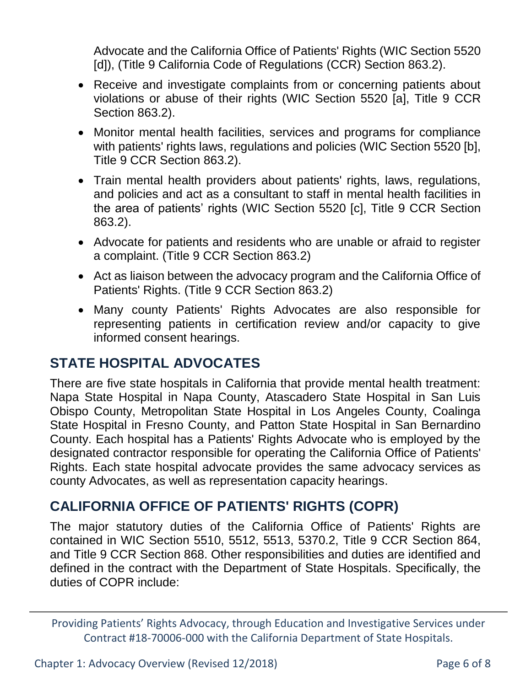Advocate and the California Office of Patients' Rights (WIC Section 5520 [d]), (Title 9 California Code of Regulations (CCR) Section 863.2).

- Receive and investigate complaints from or concerning patients about violations or abuse of their rights (WIC Section 5520 [a], Title 9 CCR Section 863.2).
- Monitor mental health facilities, services and programs for compliance with patients' rights laws, regulations and policies (WIC Section 5520 [b], Title 9 CCR Section 863.2).
- Train mental health providers about patients' rights, laws, regulations, and policies and act as a consultant to staff in mental health facilities in the area of patients' rights (WIC Section 5520 [c], Title 9 CCR Section 863.2).
- Advocate for patients and residents who are unable or afraid to register a complaint. (Title 9 CCR Section 863.2)
- Act as liaison between the advocacy program and the California Office of Patients' Rights. (Title 9 CCR Section 863.2)
- Many county Patients' Rights Advocates are also responsible for representing patients in certification review and/or capacity to give informed consent hearings.

### **STATE HOSPITAL ADVOCATES**

There are five state hospitals in California that provide mental health treatment: Napa State Hospital in Napa County, Atascadero State Hospital in San Luis Obispo County, Metropolitan State Hospital in Los Angeles County, Coalinga State Hospital in Fresno County, and Patton State Hospital in San Bernardino County. Each hospital has a Patients' Rights Advocate who is employed by the designated contractor responsible for operating the California Office of Patients' Rights. Each state hospital advocate provides the same advocacy services as county Advocates, as well as representation capacity hearings.

### **CALIFORNIA OFFICE OF PATIENTS' RIGHTS (COPR)**

The major statutory duties of the California Office of Patients' Rights are contained in WIC Section 5510, 5512, 5513, 5370.2, Title 9 CCR Section 864, and Title 9 CCR Section 868. Other responsibilities and duties are identified and defined in the contract with the Department of State Hospitals. Specifically, the duties of COPR include:

Providing Patients' Rights Advocacy, through Education and Investigative Services under Contract #18-70006-000 with the California Department of State Hospitals.

Chapter 1: Advocacy Overview (Revised 12/2018) Page 6 of 8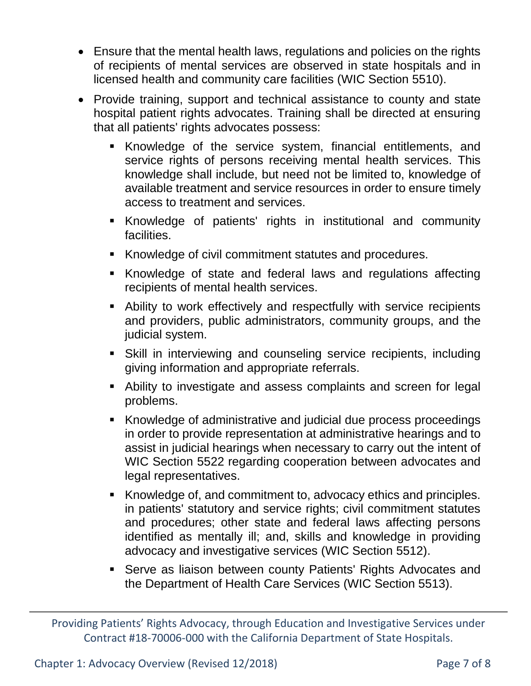- Ensure that the mental health laws, regulations and policies on the rights of recipients of mental services are observed in state hospitals and in licensed health and community care facilities (WIC Section 5510).
- Provide training, support and technical assistance to county and state hospital patient rights advocates. Training shall be directed at ensuring that all patients' rights advocates possess:
	- Knowledge of the service system, financial entitlements, and service rights of persons receiving mental health services. This knowledge shall include, but need not be limited to, knowledge of available treatment and service resources in order to ensure timely access to treatment and services.
	- Knowledge of patients' rights in institutional and community facilities.
	- Knowledge of civil commitment statutes and procedures.
	- Knowledge of state and federal laws and regulations affecting recipients of mental health services.
	- Ability to work effectively and respectfully with service recipients and providers, public administrators, community groups, and the judicial system.
	- Skill in interviewing and counseling service recipients, including giving information and appropriate referrals.
	- Ability to investigate and assess complaints and screen for legal problems.
	- Knowledge of administrative and judicial due process proceedings in order to provide representation at administrative hearings and to assist in judicial hearings when necessary to carry out the intent of WIC Section 5522 regarding cooperation between advocates and legal representatives.
	- Knowledge of, and commitment to, advocacy ethics and principles. in patients' statutory and service rights; civil commitment statutes and procedures; other state and federal laws affecting persons identified as mentally ill; and, skills and knowledge in providing advocacy and investigative services (WIC Section 5512).
	- **Serve as liaison between county Patients' Rights Advocates and** the Department of Health Care Services (WIC Section 5513).

Providing Patients' Rights Advocacy, through Education and Investigative Services under Contract #18-70006-000 with the California Department of State Hospitals.